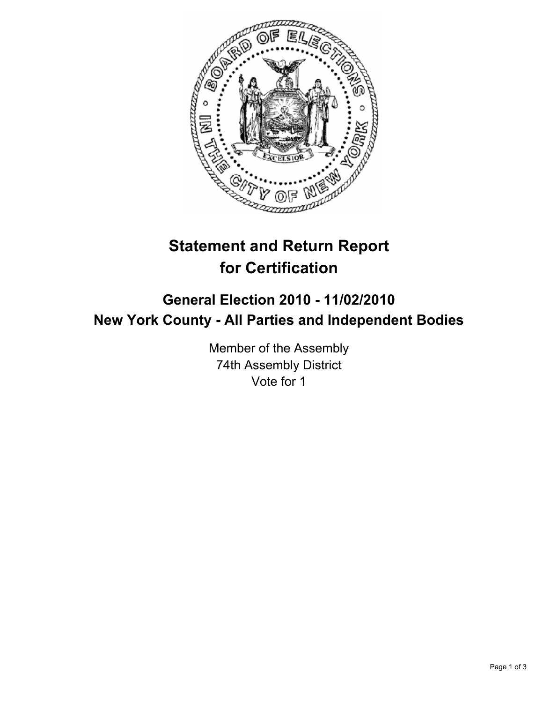

## **Statement and Return Report for Certification**

## **General Election 2010 - 11/02/2010 New York County - All Parties and Independent Bodies**

Member of the Assembly 74th Assembly District Vote for 1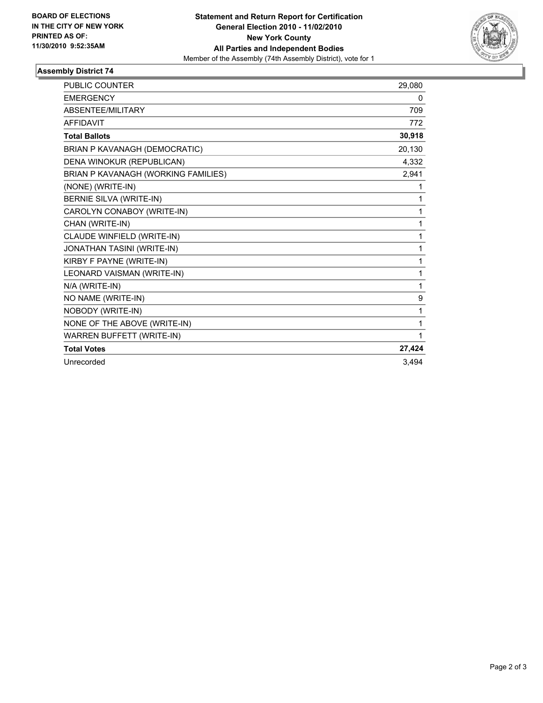

## **Assembly District 74**

| <b>PUBLIC COUNTER</b>               | 29,080 |
|-------------------------------------|--------|
| <b>EMERGENCY</b>                    | 0      |
| ABSENTEE/MILITARY                   | 709    |
| <b>AFFIDAVIT</b>                    | 772    |
| <b>Total Ballots</b>                | 30,918 |
| BRIAN P KAVANAGH (DEMOCRATIC)       | 20,130 |
| DENA WINOKUR (REPUBLICAN)           | 4,332  |
| BRIAN P KAVANAGH (WORKING FAMILIES) | 2,941  |
| (NONE) (WRITE-IN)                   | 1      |
| BERNIE SILVA (WRITE-IN)             | 1      |
| CAROLYN CONABOY (WRITE-IN)          | 1      |
| CHAN (WRITE-IN)                     | 1      |
| CLAUDE WINFIELD (WRITE-IN)          | 1      |
| JONATHAN TASINI (WRITE-IN)          | 1      |
| KIRBY F PAYNE (WRITE-IN)            | 1      |
| LEONARD VAISMAN (WRITE-IN)          | 1      |
| N/A (WRITE-IN)                      | 1      |
| NO NAME (WRITE-IN)                  | 9      |
| NOBODY (WRITE-IN)                   | 1      |
| NONE OF THE ABOVE (WRITE-IN)        | 1      |
| WARREN BUFFETT (WRITE-IN)           | 1      |
| <b>Total Votes</b>                  | 27,424 |
| Unrecorded                          | 3,494  |